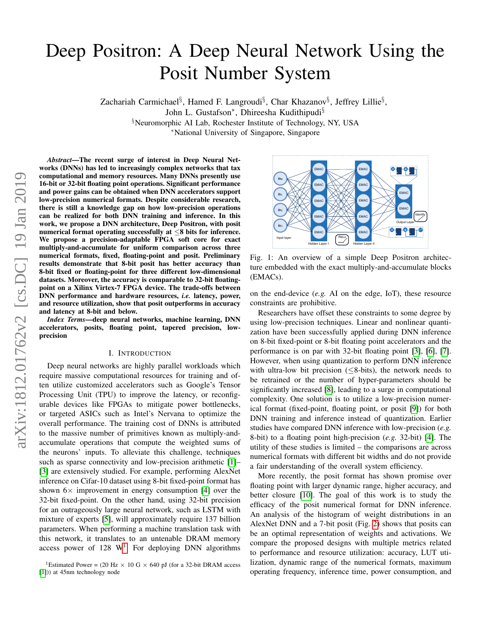# Deep Positron: A Deep Neural Network Using the Posit Number System

Zachariah Carmichael<sup>§</sup>, Hamed F. Langroudi<sup>§</sup>, Char Khazanov<sup>§</sup>, Jeffrey Lillie<sup>§</sup>,

John L. Gustafson<sup>\*</sup>, Dhireesha Kudithipudi<sup>§</sup>

§Neuromorphic AI Lab, Rochester Institute of Technology, NY, USA

<sup>∗</sup>National University of Singapore, Singapore

*Abstract*—The recent surge of interest in Deep Neural Networks (DNNs) has led to increasingly complex networks that tax computational and memory resources. Many DNNs presently use 16-bit or 32-bit floating point operations. Significant performance and power gains can be obtained when DNN accelerators support low-precision numerical formats. Despite considerable research, there is still a knowledge gap on how low-precision operations can be realized for both DNN training and inference. In this work, we propose a DNN architecture, Deep Positron, with posit numerical format operating successfully at  $\leq 8$  bits for inference. We propose a precision-adaptable FPGA soft core for exact multiply-and-accumulate for uniform comparison across three numerical formats, fixed, floating-point and posit. Preliminary results demonstrate that 8-bit posit has better accuracy than 8-bit fixed or floating-point for three different low-dimensional datasets. Moreover, the accuracy is comparable to 32-bit floatingpoint on a Xilinx Virtex-7 FPGA device. The trade-offs between DNN performance and hardware resources, *i.e.* latency, power, and resource utilization, show that posit outperforms in accuracy and latency at 8-bit and below.

*Index Terms*—deep neural networks, machine learning, DNN accelerators, posits, floating point, tapered precision, lowprecision

### I. INTRODUCTION

Deep neural networks are highly parallel workloads which require massive computational resources for training and often utilize customized accelerators such as Google's Tensor Processing Unit (TPU) to improve the latency, or reconfigurable devices like FPGAs to mitigate power bottlenecks, or targeted ASICs such as Intel's Nervana to optimize the overall performance. The training cost of DNNs is attributed to the massive number of primitives known as multiply-andaccumulate operations that compute the weighted sums of the neurons' inputs. To alleviate this challenge, techniques such as sparse connectivity and low-precision arithmetic [\[1\]](#page-5-0)– [\[3\]](#page-5-1) are extensively studied. For example, performing AlexNet inference on Cifar-10 dataset using 8-bit fixed-point format has shown  $6\times$  improvement in energy consumption [\[4\]](#page-5-2) over the 32-bit fixed-point. On the other hand, using 32-bit precision for an outrageously large neural network, such as LSTM with mixture of experts [\[5\]](#page-5-3), will approximately require 137 billion parameters. When performing a machine translation task with this network, it translates to an untenable DRAM memory access power of  $128 \text{ W}^1$  $128 \text{ W}^1$ . For deploying DNN algorithms

<span id="page-0-1"></span>

Fig. 1: An overview of a simple Deep Positron architecture embedded with the exact multiply-and-accumulate blocks (EMACs).

on the end-device (*e.g.* AI on the edge, IoT), these resource constraints are prohibitive.

Researchers have offset these constraints to some degree by using low-precision techniques. Linear and nonlinear quantization have been successfully applied during DNN inference on 8-bit fixed-point or 8-bit floating point accelerators and the performance is on par with 32-bit floating point [\[3\]](#page-5-1), [\[6\]](#page-5-4), [\[7\]](#page-5-5). However, when using quantization to perform DNN inference with ultra-low bit precision (≤8-bits), the network needs to be retrained or the number of hyper-parameters should be significantly increased [\[8\]](#page-5-6), leading to a surge in computational complexity. One solution is to utilize a low-precision numerical format (fixed-point, floating point, or posit [\[9\]](#page-5-7)) for both DNN training and inference instead of quantization. Earlier studies have compared DNN inference with low-precision (*e.g.* 8-bit) to a floating point high-precision (*e.g.* 32-bit) [\[4\]](#page-5-2). The utility of these studies is limited – the comparisons are across numerical formats with different bit widths and do not provide a fair understanding of the overall system efficiency.

More recently, the posit format has shown promise over floating point with larger dynamic range, higher accuracy, and better closure [\[10\]](#page-5-8). The goal of this work is to study the efficacy of the posit numerical format for DNN inference. An analysis of the histogram of weight distributions in an AlexNet DNN and a 7-bit posit (Fig. [2\)](#page-1-0) shows that posits can be an optimal representation of weights and activations. We compare the proposed designs with multiple metrics related to performance and resource utilization: accuracy, LUT utilization, dynamic range of the numerical formats, maximum operating frequency, inference time, power consumption, and

<span id="page-0-0"></span><sup>&</sup>lt;sup>1</sup>Estimated Power = (20 Hz  $\times$  10 G  $\times$  640 pJ (for a 32-bit DRAM access [\[1\]](#page-5-0))) at 45nm technology node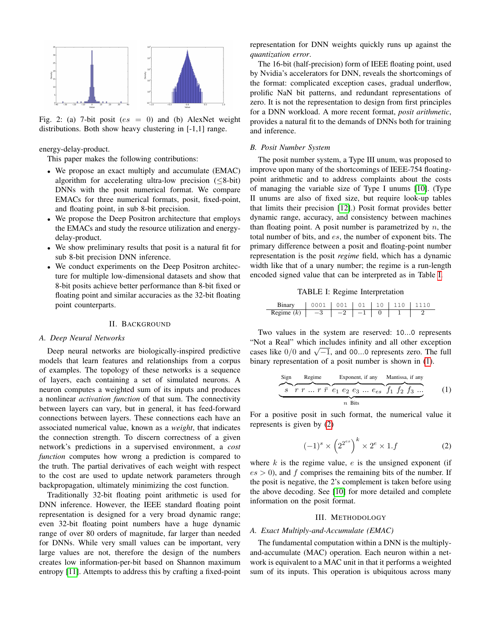<span id="page-1-0"></span>

Fig. 2: (a) 7-bit posit ( $es = 0$ ) and (b) AlexNet weight distributions. Both show heavy clustering in [-1,1] range.

energy-delay-product.

This paper makes the following contributions:

- We propose an exact multiply and accumulate (EMAC) algorithm for accelerating ultra-low precision  $(\leq 8$ -bit) DNNs with the posit numerical format. We compare EMACs for three numerical formats, posit, fixed-point, and floating point, in sub 8-bit precision.
- We propose the Deep Positron architecture that employs the EMACs and study the resource utilization and energydelay-product.
- We show preliminary results that posit is a natural fit for sub 8-bit precision DNN inference.
- We conduct experiments on the Deep Positron architecture for multiple low-dimensional datasets and show that 8-bit posits achieve better performance than 8-bit fixed or floating point and similar accuracies as the 32-bit floating point counterparts.

### II. BACKGROUND

### *A. Deep Neural Networks*

Deep neural networks are biologically-inspired predictive models that learn features and relationships from a corpus of examples. The topology of these networks is a sequence of layers, each containing a set of simulated neurons. A neuron computes a weighted sum of its inputs and produces a nonlinear *activation function* of that sum. The connectivity between layers can vary, but in general, it has feed-forward connections between layers. These connections each have an associated numerical value, known as a *weight*, that indicates the connection strength. To discern correctness of a given network's predictions in a supervised environment, a *cost function* computes how wrong a prediction is compared to the truth. The partial derivatives of each weight with respect to the cost are used to update network parameters through backpropagation, ultimately minimizing the cost function.

Traditionally 32-bit floating point arithmetic is used for DNN inference. However, the IEEE standard floating point representation is designed for a very broad dynamic range; even 32-bit floating point numbers have a huge dynamic range of over 80 orders of magnitude, far larger than needed for DNNs. While very small values can be important, very large values are not, therefore the design of the numbers creates low information-per-bit based on Shannon maximum entropy [\[11\]](#page-5-9). Attempts to address this by crafting a fixed-point representation for DNN weights quickly runs up against the *quantization error*.

The 16-bit (half-precision) form of IEEE floating point, used by Nvidia's accelerators for DNN, reveals the shortcomings of the format: complicated exception cases, gradual underflow, prolific NaN bit patterns, and redundant representations of zero. It is not the representation to design from first principles for a DNN workload. A more recent format, *posit arithmetic*, provides a natural fit to the demands of DNNs both for training and inference.

### *B. Posit Number System*

The posit number system, a Type III unum, was proposed to improve upon many of the shortcomings of IEEE-754 floatingpoint arithmetic and to address complaints about the costs of managing the variable size of Type I unums [\[10\]](#page-5-8). (Type II unums are also of fixed size, but require look-up tables that limits their precision [\[12\]](#page-5-10).) Posit format provides better dynamic range, accuracy, and consistency between machines than floating point. A posit number is parametrized by  $n$ , the total number of bits, and es, the number of exponent bits. The primary difference between a posit and floating-point number representation is the posit *regime* field, which has a dynamic width like that of a unary number; the regime is a run-length encoded signed value that can be interpreted as in Table [I.](#page-1-1)

TABLE I: Regime Interpretation

<span id="page-1-1"></span>

| Binary       | $1001$ $01$ $110$ $1110$ |  |  |
|--------------|--------------------------|--|--|
| Regime $(k)$ |                          |  |  |

Two values in the system are reserved: 10...0 represents "Not a Real" which includes infinity and all other exception root a real which includes infinity and all other exception cases like  $0/0$  and  $\sqrt{-1}$ , and 00...0 represents zero. The full binary representation of a posit number is shown in [\(1\)](#page-1-2).

<span id="page-1-2"></span>

| Sign                                                                                                                                                                                         | Regime | Exponent, if any | Mantissa, if any |
|----------------------------------------------------------------------------------------------------------------------------------------------------------------------------------------------|--------|------------------|------------------|
| <i>S</i> $\overline{r} \overline{r} \dots \overline{r} \overline{r} \overline{e_1} \overline{e_2} \overline{e_3} \dots \overline{e_{es}} \overline{f_1} \overline{f_2} \overline{f_3} \dots$ | (1)    |                  |                  |
| <i>n</i> Bits                                                                                                                                                                                |        |                  |                  |

For a positive posit in such format, the numerical value it represents is given by [\(2\)](#page-1-3)

<span id="page-1-3"></span>
$$
(-1)^s \times \left(2^{2^{es}}\right)^k \times 2^e \times 1.f \tag{2}
$$

where  $k$  is the regime value,  $e$  is the unsigned exponent (if  $es > 0$ ), and f comprises the remaining bits of the number. If the posit is negative, the 2's complement is taken before using the above decoding. See [\[10\]](#page-5-8) for more detailed and complete information on the posit format.

### III. METHODOLOGY

# *A. Exact Multiply-and-Accumulate (EMAC)*

The fundamental computation within a DNN is the multiplyand-accumulate (MAC) operation. Each neuron within a network is equivalent to a MAC unit in that it performs a weighted sum of its inputs. This operation is ubiquitous across many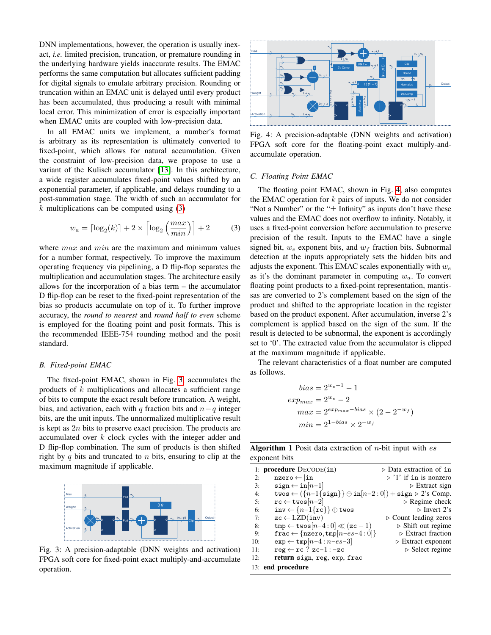DNN implementations, however, the operation is usually inexact, *i.e.* limited precision, truncation, or premature rounding in the underlying hardware yields inaccurate results. The EMAC performs the same computation but allocates sufficient padding for digital signals to emulate arbitrary precision. Rounding or truncation within an EMAC unit is delayed until every product has been accumulated, thus producing a result with minimal local error. This minimization of error is especially important when EMAC units are coupled with low-precision data.

In all EMAC units we implement, a number's format is arbitrary as its representation is ultimately converted to fixed-point, which allows for natural accumulation. Given the constraint of low-precision data, we propose to use a variant of the Kulisch accumulator [\[13\]](#page-5-11). In this architecture, a wide register accumulates fixed-point values shifted by an exponential parameter, if applicable, and delays rounding to a post-summation stage. The width of such an accumulator for  $k$  multiplications can be computed using  $(3)$ 

<span id="page-2-0"></span>
$$
w_a = \lceil \log_2(k) \rceil + 2 \times \left\lceil \log_2\left(\frac{max}{min}\right) \right\rceil + 2 \tag{3}
$$

where  $max$  and  $min$  are the maximum and minimum values for a number format, respectively. To improve the maximum operating frequency via pipelining, a D flip-flop separates the multiplication and accumulation stages. The architecture easily allows for the incorporation of a bias term – the accumulator D flip-flop can be reset to the fixed-point representation of the bias so products accumulate on top of it. To further improve accuracy, the *round to nearest* and *round half to even* scheme is employed for the floating point and posit formats. This is the recommended IEEE-754 rounding method and the posit standard.

### *B. Fixed-point EMAC*

The fixed-point EMAC, shown in Fig. [3,](#page-2-1) accumulates the products of  $k$  multiplications and allocates a sufficient range of bits to compute the exact result before truncation. A weight, bias, and activation, each with q fraction bits and  $n-q$  integer bits, are the unit inputs. The unnormalized multiplicative result is kept as  $2n$  bits to preserve exact precision. The products are accumulated over k clock cycles with the integer adder and D flip-flop combination. The sum of products is then shifted right by q bits and truncated to  $n$  bits, ensuring to clip at the maximum magnitude if applicable.

<span id="page-2-1"></span>

Fig. 3: A precision-adaptable (DNN weights and activation) FPGA soft core for fixed-point exact multiply-and-accumulate operation.

<span id="page-2-2"></span>

Fig. 4: A precision-adaptable (DNN weights and activation) FPGA soft core for the floating-point exact multiply-andaccumulate operation.

### *C. Floating Point EMAC*

The floating point EMAC, shown in Fig. [4,](#page-2-2) also computes the EMAC operation for  $k$  pairs of inputs. We do not consider "Not a Number" or the " $\pm$  Infinity" as inputs don't have these values and the EMAC does not overflow to infinity. Notably, it uses a fixed-point conversion before accumulation to preserve precision of the result. Inputs to the EMAC have a single signed bit,  $w_e$  exponent bits, and  $w_f$  fraction bits. Subnormal detection at the inputs appropriately sets the hidden bits and adjusts the exponent. This EMAC scales exponentially with  $w_e$ as it's the dominant parameter in computing  $w_a$ . To convert floating point products to a fixed-point representation, mantissas are converted to 2's complement based on the sign of the product and shifted to the appropriate location in the register based on the product exponent. After accumulation, inverse 2's complement is applied based on the sign of the sum. If the result is detected to be subnormal, the exponent is accordingly set to '0'. The extracted value from the accumulator is clipped at the maximum magnitude if applicable.

The relevant characteristics of a float number are computed as follows.

$$
bias = 2^{w_e - 1} - 1
$$
  
\n
$$
exp_{max} = 2^{w_e} - 2
$$
  
\n
$$
max = 2^{exp_{max} - bias} \times (2 - 2^{-w_f})
$$
  
\n
$$
min = 2^{1 - bias} \times 2^{-w_f}
$$

<span id="page-2-3"></span>**Algorithm 1** Posit data extraction of *n*-bit input with  $es$ exponent bits

|     | 1: procedure $DecoDE(in)$                                                                                                  | $\triangleright$ Data extraction of in |
|-----|----------------------------------------------------------------------------------------------------------------------------|----------------------------------------|
| 2:  | $nzero \leftarrow  in$                                                                                                     | $\triangleright$ '1' if in is nonzero  |
| 3:  | $sign \leftarrow inf[n-1]$                                                                                                 | $\triangleright$ Extract sign          |
| 4:  | twos $\leftarrow (\lbrace n-1\lbrace \text{sign}\rbrace) \oplus \text{in}[n-2:0]) + \text{sign} \triangleright 2$ 's Comp. |                                        |
| 5:  | $rc \leftarrow twos[n-2]$                                                                                                  | $\triangleright$ Regime check          |
| 6:  | $inv \leftarrow \{n-1\{rc\}\}\oplus twos$                                                                                  | $\triangleright$ Invert 2's            |
| 7:  | $zc \leftarrow LZD(inv)$                                                                                                   | $\triangleright$ Count leading zeros   |
| 8:  | $\texttt{tmp} \leftarrow \texttt{twos}[n-4:0] \ll (\texttt{zc} - 1)$                                                       | $\triangleright$ Shift out regime      |
| 9:  | frac $\leftarrow$ {nzero, tmp[ $n-es-4:0$ ]}                                                                               | $\triangleright$ Extract fraction      |
| 10: | $\exp \leftarrow \text{tmp}[n-4:n-es-3]$                                                                                   | $\triangleright$ Extract exponent      |
| 11: | $reg \leftarrow rc$ ? zc-1:-zc                                                                                             | $\triangleright$ Select regime         |
| 12: | return sign, reg, exp, frac                                                                                                |                                        |
|     | 13: end procedure                                                                                                          |                                        |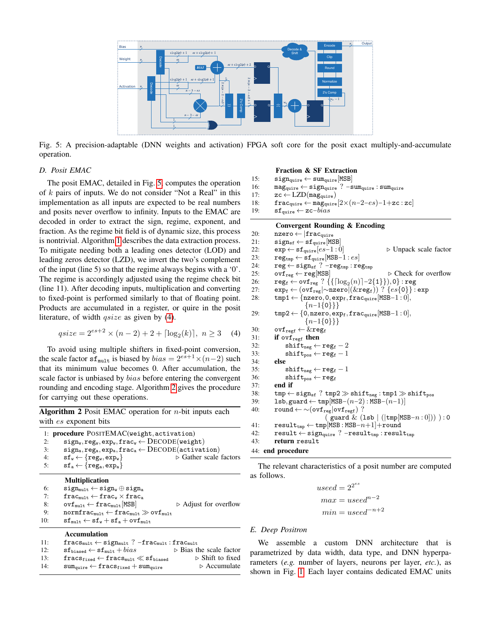<span id="page-3-0"></span>

Fig. 5: A precision-adaptable (DNN weights and activation) FPGA soft core for the posit exact multiply-and-accumulate operation.

### *D. Posit EMAC*

The posit EMAC, detailed in Fig. [5,](#page-3-0) computes the operation of  $k$  pairs of inputs. We do not consider "Not a Real" in this implementation as all inputs are expected to be real numbers and posits never overflow to infinity. Inputs to the EMAC are decoded in order to extract the sign, regime, exponent, and fraction. As the regime bit field is of dynamic size, this process is nontrivial. Algorithm [1](#page-2-3) describes the data extraction process. To mitigate needing both a leading ones detector (LOD) and leading zeros detector (LZD), we invert the two's complement of the input (line 5) so that the regime always begins with a '0'. The regime is accordingly adjusted using the regime check bit (line 11). After decoding inputs, multiplication and converting to fixed-point is performed similarly to that of floating point. Products are accumulated in a register, or quire in the posit literature, of width *qsize* as given by [\(4\)](#page-3-1).

$$
qsize = 2^{es+2} \times (n-2) + 2 + \lceil \log_2(k) \rceil, \ n \ge 3 \quad (4)
$$

To avoid using multiple shifters in fixed-point conversion, the scale factor  $\text{sf}_{\text{mult}}$  is biased by  $bias = 2^{es+1} \times (n-2)$  such that its minimum value becomes 0. After accumulation, the scale factor is unbiased by *bias* before entering the convergent rounding and encoding stage. Algorithm [2](#page-3-2) gives the procedure for carrying out these operations.

<span id="page-3-2"></span>**Algorithm 2** Posit EMAC operation for  $n$ -bit inputs each with *es* exponent bits

|    | 1: procedure POSITEMAC(weight, activation)                    |                                       |  |  |  |
|----|---------------------------------------------------------------|---------------------------------------|--|--|--|
| 2: | $sign_w, reg_w, exp_w, frac_w \leftarrow DECODE(weight)$      |                                       |  |  |  |
| 3: | $sign_a, reg_a, exp_a, frac_a \leftarrow DECODE(activation)$  |                                       |  |  |  |
| 4: | $\texttt{sf}_v \leftarrow \{\texttt{reg}_v, \texttt{exp}_v\}$ | $\triangleright$ Gather scale factors |  |  |  |
| 5: | $sf_a \leftarrow \{ \texttt{reg}_a, \texttt{exp}_a \}$        |                                       |  |  |  |
|    | <b>Multiplication</b>                                         |                                       |  |  |  |
| 6: | $sign_{mult} \leftarrow sign_w \oplus sign_a$                 |                                       |  |  |  |
| 7: | $frac_{mult} \leftarrow frac_{w} \times frac_{a}$             |                                       |  |  |  |

### 8:  $\text{ovf}_{\text{mult}} \leftarrow \text{frac}{{|\text{MSB}|}}$   $\triangleright$  Adjust for overflow 9:  $normfrac_{mult} \leftarrow frac_{mult} \gg ovf_{mult}$ 10:  $\mathbf{sf}_{\text{mult}} \leftarrow \mathbf{sf}_{\text{w}} + \mathbf{sf}_{\text{a}} + \text{ovf}_{\text{mult}}$

# Accumulation

- 11:  ${\tt frac_{mult}} \leftarrow \mathtt{sign}_{mult}$  ?  $-{\tt frac_{mult}}: {\tt frac_{mult}}$
- 

```
12: \mathbf{sf_{biased}} \leftarrow \mathbf{sf_{mult}} + bias \Rightarrow \text{Bias the scale factor}<br>
13: \mathbf{fracs_{fixed}} \leftarrow \mathbf{fracs_{mult}} \ll \mathbf{sf_{biased}} \Rightarrow \text{Shift to fixed}13: fracs<sub>fixed</sub> ← fracs<sub>mult</sub> \ll sf<sub>biased</sub> \triangleright Shift to fixed . \downarrow 4: sum<sub>quire</sub> \downarrow fracs<sub>fixed</sub> + sum<sub>quire</sub> \downarrow Accumulate
```
14:  $sum_{\text{quire}} \leftarrow frac{S_{fixed}} + sum_{\text{quire}}$ 

#### Fraction & SF Extraction

```
15: \texttt{sign}_{\text{quire}} \leftarrow \text{sum}_{\text{quire}} [\text{MSB}]<br>16: \text{mag}_{\text{ourre}} \leftarrow \text{sign}_{\text{ourre}} ? - \varepsilon
```
16: mag<sub>quire</sub> ← sign<sub>quire</sub> ? –sum<sub>quire</sub> : sum<sub>quire</sub> : 7 = 17: zc ← LZD(mag<sub>quire</sub>)

 $\verb|zc| \leftarrow \verb|LZD(mag_{\text{quire}})$ 

- 18: fracquire ← magquire $[2 \times (n-2-es)-1+$ zc : zc]
- 19:  $\mathbf{sf}_{\text{quire}} \leftarrow \mathbf{zc}-bias$

### Convergent Rounding & Encoding

```
20: \texttt{nzero} \leftarrow |\texttt{frac}_{\text{quire}}|<br>21: \texttt{sign}_{\text{sf}} \leftarrow \texttt{sf}_{\text{mine}}| \texttt{MS}\texttt{sign}_{\text{sf}} \leftarrow \texttt{sf}_{\text{quire}}[\texttt{MSB}]22: \exp \leftarrow s f_{\text{quire}}[es-1:0] \triangleright Unpack scale factor
23: reg_{tmp} \leftarrow sf_{quire}[MSB-1:es]<br>24: reg \leftarrow sign_{sf} ? - reg_{tmp}:rereg \leftarrow sign_{sf} ? -reg<sub>tmp</sub> : reg<sub>tmp</sub>
25: \text{ovf}_{\text{reg}} \leftarrow \text{reg}[\text{MSB}] \quad \triangleright \text{Check for overflow}<br>
26: \quad \text{reg}_{\text{f}} \leftarrow \text{ovf}_{\text{reg}} ? \{ \{ [\log_2(n)] - 2\{1\} \}, 0 \} : \text{reg}26: \mathbf{reg_f} \leftarrow \mathsf{ovf_{reg}} ? \left\{ \left\{ \lceil \log_2(n) \rceil{-}2\{1\} \right\} \right) , \mathsf{0} \right\} : \mathbf{reg}27: \exp_f \leftarrow (\text{ovf}_{reg} | \sim \text{nzero} | (\&reg_f))? \{es\{0\}\}\text{: } \exp28: \text{tmp1} \leftarrow \{ \text{nzero}, 0, \text{exp}_{f}, \text{frac}_{\text{quire}}[\text{MSB}-1:0],{n-1{0}}\}29: tmp2 \leftarrow \{0, nzero, exp_f, frac_{quire}[MSB-1:0],{n-1{0}}}}
30: \text{ovf}_{\text{regf}} \leftarrow \& \text{reg}_{f}31: if ovf_{\text{regf}} then
32: \text{shift}_{\text{neg}} \leftarrow \text{reg}_{\text{f}} - 233: \text{shift}_{pos} \leftarrow \text{reg}_{f} - 134: else
35: \text{shift}_{\text{neg}} \leftarrow \text{reg}_{f} - 1<br>36: \text{shift}_{\text{nos}} \leftarrow \text{reg}_{f}\texttt{shift}_\texttt{pos} \leftarrow \texttt{reg}_\texttt{f}37: end if
38: \text{tmp} \leftarrow \text{sign}_{\text{sf}}? \text{tmp2} \gg \text{shift}_{\text{neg}}: \text{tmp1} \gg \text{shift}_{\text{pos}}39: lsb,guard ← tmp[MSB-(n-2): MSB-(n-1)]<br>40: round ← ~ (ovf<sub>res</sub> |ovf<sub>res</sub>) ?
               round \leftarrow \sim (ovf_{reg}|ovf_{reg}) ?
                                                 ( guard & (lsb | (|tmp[MSB−n : 0])) ) : 0
41: result_{tmp} \leftarrow tmp(MSB : MSB-n+1] + round42: result ← sign<sub>quire</sub> ? -result<sub>tmp</sub> : result<sub>tmp</sub>
43: return result
44: end procedure
```
The relevant characteristics of a posit number are computed as follows.

> $used = 2^{2^{es}}$  $max = used^{n-2}$  $min = used^{-n+2}$

# *E. Deep Positron*

We assemble a custom DNN architecture that is parametrized by data width, data type, and DNN hyperparameters (*e.g.* number of layers, neurons per layer, *etc.*), as shown in Fig. [1.](#page-0-1) Each layer contains dedicated EMAC units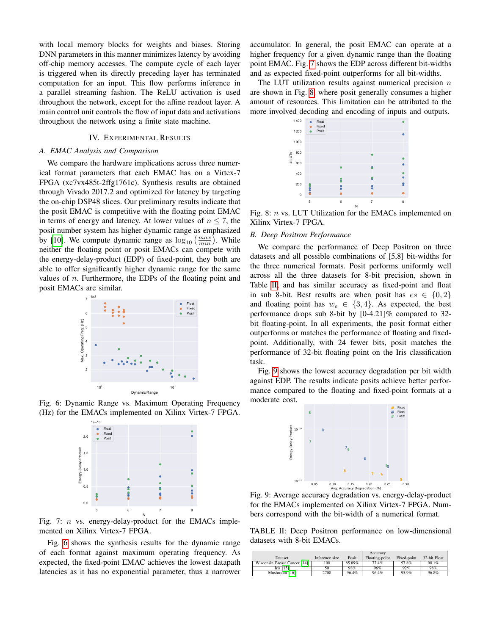with local memory blocks for weights and biases. Storing DNN parameters in this manner minimizes latency by avoiding off-chip memory accesses. The compute cycle of each layer is triggered when its directly preceding layer has terminated computation for an input. This flow performs inference in a parallel streaming fashion. The ReLU activation is used throughout the network, except for the affine readout layer. A main control unit controls the flow of input data and activations throughout the network using a finite state machine.

### IV. EXPERIMENTAL RESULTS

# *A. EMAC Analysis and Comparison*

We compare the hardware implications across three numerical format parameters that each EMAC has on a Virtex-7 FPGA (xc7vx485t-2ffg1761c). Synthesis results are obtained through Vivado 2017.2 and optimized for latency by targeting the on-chip DSP48 slices. Our preliminary results indicate that the posit EMAC is competitive with the floating point EMAC in terms of energy and latency. At lower values of  $n \leq 7$ , the posit number system has higher dynamic range as emphasized by [\[10\]](#page-5-8). We compute dynamic range as  $\log_{10} \left( \frac{max}{min} \right)$ . While neither the floating point or posit EMACs can compete with the energy-delay-product (EDP) of fixed-point, they both are able to offer significantly higher dynamic range for the same values of  $n$ . Furthermore, the EDPs of the floating point and posit EMACs are similar.

<span id="page-4-0"></span>

<span id="page-4-1"></span>Fig. 6: Dynamic Range vs. Maximum Operating Frequency (Hz) for the EMACs implemented on Xilinx Virtex-7 FPGA.



Fig. 7:  $n$  vs. energy-delay-product for the EMACs implemented on Xilinx Virtex-7 FPGA.

Fig. [6](#page-4-0) shows the synthesis results for the dynamic range of each format against maximum operating frequency. As expected, the fixed-point EMAC achieves the lowest datapath latencies as it has no exponential parameter, thus a narrower

accumulator. In general, the posit EMAC can operate at a higher frequency for a given dynamic range than the floating point EMAC. Fig. [7](#page-4-1) shows the EDP across different bit-widths and as expected fixed-point outperforms for all bit-widths.

<span id="page-4-2"></span>The LUT utilization results against numerical precision  $n$ are shown in Fig. [8,](#page-4-2) where posit generally consumes a higher amount of resources. This limitation can be attributed to the more involved decoding and encoding of inputs and outputs.



Fig. 8: *n* vs. LUT Utilization for the EMACs implemented on Xilinx Virtex-7 FPGA.

### *B. Deep Positron Performance*

We compare the performance of Deep Positron on three datasets and all possible combinations of [5,8] bit-widths for the three numerical formats. Posit performs uniformly well across all the three datasets for 8-bit precision, shown in Table [II,](#page-4-3) and has similar accuracy as fixed-point and float in sub 8-bit. Best results are when posit has  $es \in \{0,2\}$ and floating point has  $w_e \in \{3, 4\}$ . As expected, the best performance drops sub 8-bit by [0-4.21]% compared to 32 bit floating-point. In all experiments, the posit format either outperforms or matches the performance of floating and fixedpoint. Additionally, with 24 fewer bits, posit matches the performance of 32-bit floating point on the Iris classification task.

<span id="page-4-4"></span>Fig. [9](#page-4-4) shows the lowest accuracy degradation per bit width against EDP. The results indicate posits achieve better performance compared to the floating and fixed-point formats at a moderate cost.



Fig. 9: Average accuracy degradation vs. energy-delay-product for the EMACs implemented on Xilinx Virtex-7 FPGA. Numbers correspond with the bit-width of a numerical format.

<span id="page-4-3"></span>TABLE II: Deep Positron performance on low-dimensional datasets with 8-bit EMACs.

|                              |                |        | Accuracy       |             |              |
|------------------------------|----------------|--------|----------------|-------------|--------------|
| Dataset                      | Inference size | Posit  | Floating-point | Fixed-point | 32-bit Float |
| Wisconsin Breast Cancer [14] | 190            | 85.89% | 77.4%          | 57.8%       | 90.1%        |
| Iris $[15]$                  |                | 98%    | 96%            | 92%         | 98%          |
| Mushroom [16]                | 2708           | 96.4%  | 96.4%          | 95.9%       | 96.8%        |